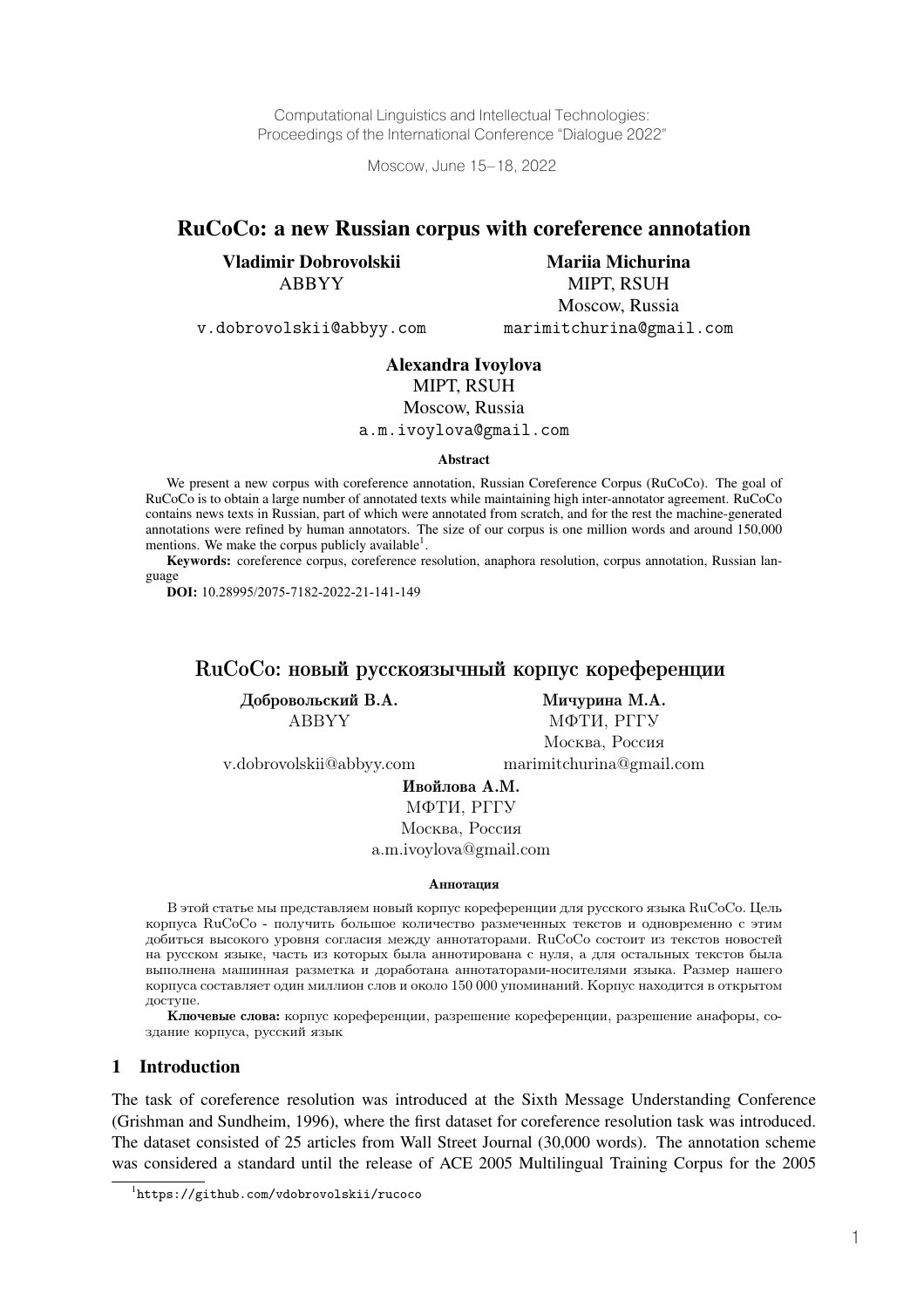Computational Linguistics and Intellectual Technologies: Proceedings of the International Conference "Dialogue 2022"

Moscow, June 15–18, 2022

# RuCoCo: a new Russian corpus with coreference annotation

Vladimir Dobrovolskii ABBYY

Mariia Michurina MIPT, RSUH Moscow, Russia marimitchurina@gmail.com

v.dobrovolskii@abbyy.com

#### Alexandra Ivoylova

MIPT, RSUH

Moscow, Russia

a.m.ivoylova@gmail.com

Abstract

We present a new corpus with coreference annotation, Russian Coreference Corpus (RuCoCo). The goal of RuCoCo is to obtain a large number of annotated texts while maintaining high inter-annotator agreement. RuCoCo contains news texts in Russian, part of which were annotated from scratch, and for the rest the machine-generated annotations were refined by human annotators. The size of our corpus is one million words and around 150,000 mentions. We make the corpus publicly available $^1$ .

Keywords: coreference corpus, coreference resolution, anaphora resolution, corpus annotation, Russian language

**DOI:** 10.28995/2075-7182-2022-21-141-149

# RuCoCo: новый русскоязычный корпус кореференции

Добровольский В.А. Мичурина М.А.

ABBYY МФТИ, РГГУ Москва, Россия

v.dobrovolskii@abbyy.com marimitchurina@gmail.com

Ивойлова А.М.

МФТИ, РГГУ Москва, Россия a.m.ivoylova@gmail.com

#### Аннотация

В этой статье мы представляем новый корпус кореференции для русского языка RuCoCo. Цель корпуса RuCoCo - получить большое количество размеченных текстов и одновременно с этим добиться высокого уровня согласия между аннотаторами. RuCoCo состоит из текстов новостей на русском языке, часть из которых была аннотирована с нуля, а для остальных текстов была выполнена машинная разметка и доработана аннотаторами-носителями языка. Размер нашего корпуса составляет один миллион слов и около 150 000 упоминаний. Корпус находится в открытом доступе.

Ключевые слова: корпус кореференции, разрешение кореференции, разрешение анафоры, создание корпуса, русский язык

## 1 Introduction

The task of coreference resolution was introduced at the Sixth Message Understanding Conference (Grishman and Sundheim, 1996), where the first dataset for coreference resolution task was introduced. The dataset consisted of 25 articles from Wall Street Journal (30,000 words). The annotation scheme was considered a standard until the release of ACE 2005 Multilingual Training Corpus for the 2005

<sup>1</sup> https://github.com/vdobrovolskii/rucoco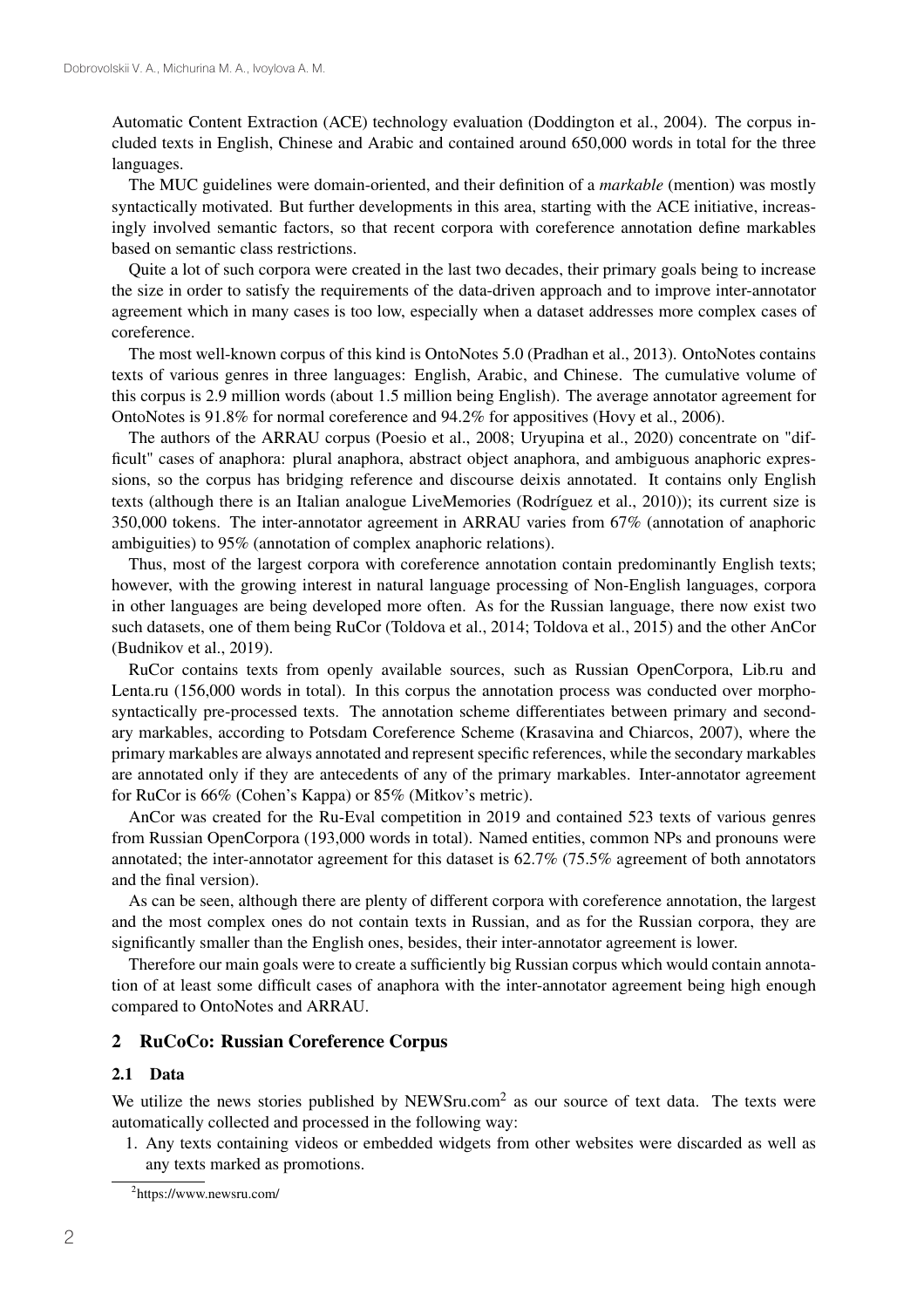Automatic Content Extraction (ACE) technology evaluation (Doddington et al., 2004). The corpus included texts in English, Chinese and Arabic and contained around 650,000 words in total for the three languages.

The MUC guidelines were domain-oriented, and their definition of a *markable* (mention) was mostly syntactically motivated. But further developments in this area, starting with the ACE initiative, increasingly involved semantic factors, so that recent corpora with coreference annotation define markables based on semantic class restrictions.

Quite a lot of such corpora were created in the last two decades, their primary goals being to increase the size in order to satisfy the requirements of the data-driven approach and to improve inter-annotator agreement which in many cases is too low, especially when a dataset addresses more complex cases of coreference.

The most well-known corpus of this kind is OntoNotes 5.0 (Pradhan et al., 2013). OntoNotes contains texts of various genres in three languages: English, Arabic, and Chinese. The cumulative volume of this corpus is 2.9 million words (about 1.5 million being English). The average annotator agreement for OntoNotes is 91.8% for normal coreference and 94.2% for appositives (Hovy et al., 2006).

The authors of the ARRAU corpus (Poesio et al., 2008; Uryupina et al., 2020) concentrate on "difficult" cases of anaphora: plural anaphora, abstract object anaphora, and ambiguous anaphoric expressions, so the corpus has bridging reference and discourse deixis annotated. It contains only English texts (although there is an Italian analogue LiveMemories (Rodríguez et al., 2010)); its current size is 350,000 tokens. The inter-annotator agreement in ARRAU varies from 67% (annotation of anaphoric ambiguities) to 95% (annotation of complex anaphoric relations).

Thus, most of the largest corpora with coreference annotation contain predominantly English texts; however, with the growing interest in natural language processing of Non-English languages, corpora in other languages are being developed more often. As for the Russian language, there now exist two such datasets, one of them being RuCor (Toldova et al., 2014; Toldova et al., 2015) and the other AnCor (Budnikov et al., 2019).

RuCor contains texts from openly available sources, such as Russian OpenCorpora, Lib.ru and Lenta.ru (156,000 words in total). In this corpus the annotation process was conducted over morphosyntactically pre-processed texts. The annotation scheme differentiates between primary and secondary markables, according to Potsdam Coreference Scheme (Krasavina and Chiarcos, 2007), where the primary markables are always annotated and represent specific references, while the secondary markables are annotated only if they are antecedents of any of the primary markables. Inter-annotator agreement for RuCor is 66% (Cohen's Kappa) or 85% (Mitkov's metric).

AnCor was created for the Ru-Eval competition in 2019 and contained 523 texts of various genres from Russian OpenCorpora (193,000 words in total). Named entities, common NPs and pronouns were annotated; the inter-annotator agreement for this dataset is 62.7% (75.5% agreement of both annotators and the final version).

As can be seen, although there are plenty of different corpora with coreference annotation, the largest and the most complex ones do not contain texts in Russian, and as for the Russian corpora, they are significantly smaller than the English ones, besides, their inter-annotator agreement is lower.

Therefore our main goals were to create a sufficiently big Russian corpus which would contain annotation of at least some difficult cases of anaphora with the inter-annotator agreement being high enough compared to OntoNotes and ARRAU.

#### 2 RuCoCo: Russian Coreference Corpus

#### 2.1 Data

We utilize the news stories published by NEWSru.com<sup>2</sup> as our source of text data. The texts were automatically collected and processed in the following way:

1. Any texts containing videos or embedded widgets from other websites were discarded as well as any texts marked as promotions.

<sup>2</sup> https://www.newsru.com/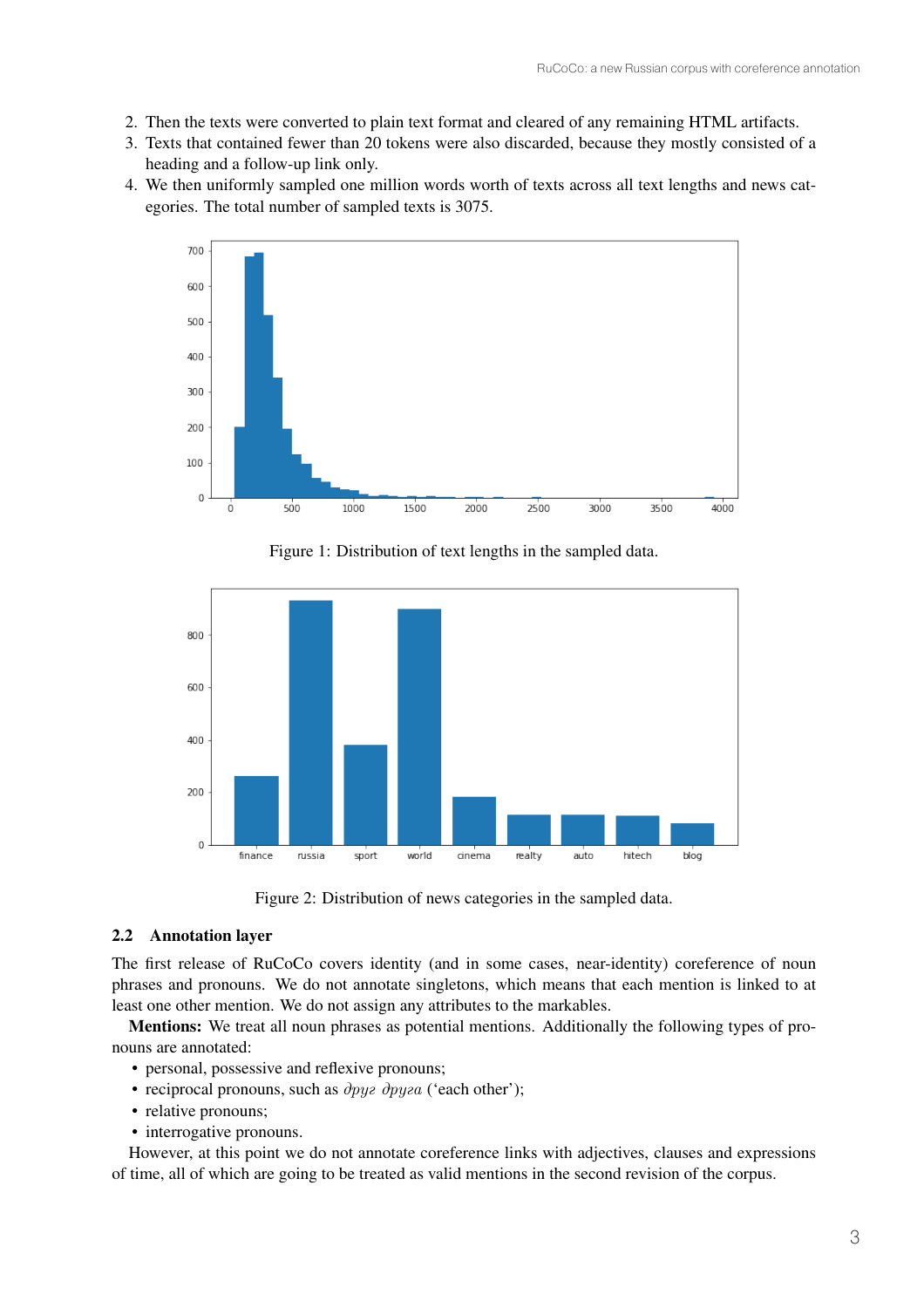- 2. Then the texts were converted to plain text format and cleared of any remaining HTML artifacts.
- 3. Texts that contained fewer than 20 tokens were also discarded, because they mostly consisted of a heading and a follow-up link only.
- 4. We then uniformly sampled one million words worth of texts across all text lengths and news categories. The total number of sampled texts is 3075.



Figure 1: Distribution of text lengths in the sampled data.



Figure 2: Distribution of news categories in the sampled data.

# 2.2 Annotation layer

The first release of RuCoCo covers identity (and in some cases, near-identity) coreference of noun phrases and pronouns. We do not annotate singletons, which means that each mention is linked to at least one other mention. We do not assign any attributes to the markables.

Mentions: We treat all noun phrases as potential mentions. Additionally the following types of pronouns are annotated:

- personal, possessive and reflexive pronouns;
- reciprocal pronouns, such as  $\partial pyz \, \partial pyza$  ('each other');
- relative pronouns;
- interrogative pronouns.

However, at this point we do not annotate coreference links with adjectives, clauses and expressions of time, all of which are going to be treated as valid mentions in the second revision of the corpus.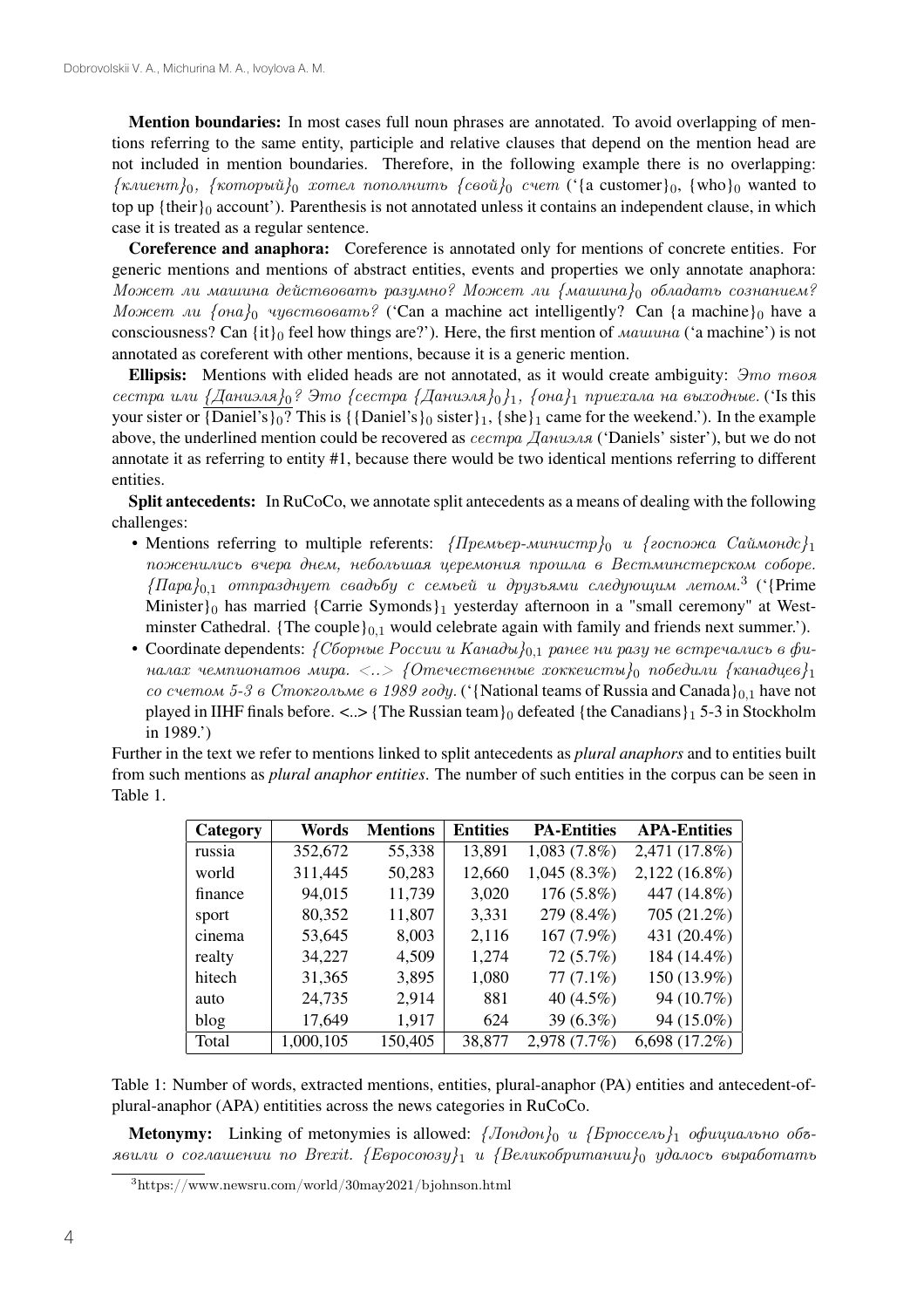Mention boundaries: In most cases full noun phrases are annotated. To avoid overlapping of mentions referring to the same entity, participle and relative clauses that depend on the mention head are not included in mention boundaries. Therefore, in the following example there is no overlapping:  $\{k, k, \ldots, k\}$ <sup>0</sup>,  $\{k, k, \ldots, k\}$ <sup>0</sup>, *xomen nononumumb*  $\{c \cdot \delta, c \cdot k\}$  ( $\{a \cdot \delta, c \cdot k\}$ )  $\{c \cdot k\}$  wanted to top up {their} $_0$  account'). Parenthesis is not annotated unless it contains an independent clause, in which case it is treated as a regular sentence.

Coreference and anaphora: Coreference is annotated only for mentions of concrete entities. For generic mentions and mentions of abstract entities, events and properties we only annotate anaphora: *Может ли машина действовать разумно? Может ли {машина}*<sup>0</sup> *обладать сознанием? Может ли {она}*<sup>0</sup> *чувствовать?* ('Can a machine act intelligently? Can {a machine}<sup>0</sup> have a consciousness? Can {it}<sup>0</sup> feel how things are?'). Here, the first mention of *машина* ('a machine') is not annotated as coreferent with other mentions, because it is a generic mention.

Ellipsis: Mentions with elided heads are not annotated, as it would create ambiguity: *Это твоя сестра или {Даниэля}*0*? Это {сестра {Даниэля}*0*}*1*, {она}*<sup>1</sup> *приехала на выходные.* ('Is this your sister or  $\overline{\{Daniel's\}_0}$ ? This is  $\{\{Daniel's\}_0$  sister $\}_1$ ,  $\{she\}_1$  came for the weekend.'). In the example above, the underlined mention could be recovered as *сестра Даниэля* ('Daniels' sister'), but we do not annotate it as referring to entity #1, because there would be two identical mentions referring to different entities.

Split antecedents: In RuCoCo, we annotate split antecedents as a means of dealing with the following challenges:

- Mentions referring to multiple referents: *{Премьер-министр}*<sub>0</sub> *и {госпожа Саймондс}*<sub>1</sub> *поженились вчера днем, небольшая церемония прошла в Вестминстерском соборе. {Пара}*0,<sup>1</sup> *отпразднует свадьбу с семьей и друзьями следующим летом.*<sup>3</sup> ('{Prime Minister}0 has married {Carrie Symonds}1 yesterday afternoon in a "small ceremony" at Westminster Cathedral. {The couple} $_{0,1}$  would celebrate again with family and friends next summer.').
- Coordinate dependents: *{Сборные России и Канады}*0,<sup>1</sup> *ранее ни разу не встречались в финалах чемпионатов мира. <..> {Отечественные хоккеисты}*<sup>0</sup> *победили {канадцев}*<sup>1</sup> *со счетом 5-3 в Стокгольме в 1989 году.* ('{National teams of Russia and Canada}<sub>0.1</sub> have not played in IIHF finals before.  $\langle \cdot, \cdot \rangle$  {The Russian team}<sub>0</sub> defeated {the Canadians}<sub>1</sub> 5-3 in Stockholm in 1989.')

Further in the text we refer to mentions linked to split antecedents as *plural anaphors* and to entities built from such mentions as *plural anaphor entities*. The number of such entities in the corpus can be seen in Table 1.

| Category | Words     | <b>Mentions</b> | <b>Entities</b> | <b>PA-Entities</b> | <b>APA-Entities</b> |
|----------|-----------|-----------------|-----------------|--------------------|---------------------|
| russia   | 352,672   | 55,338          | 13,891          | 1,083(7.8%)        | 2,471 (17.8%)       |
| world    | 311,445   | 50,283          | 12,660          | $1,045(8.3\%)$     | $2,122(16.8\%)$     |
| finance  | 94,015    | 11,739          | 3,020           | 176 (5.8%)         | 447 (14.8%)         |
| sport    | 80,352    | 11,807          | 3,331           | 279 (8.4%)         | 705 (21.2%)         |
| cinema   | 53,645    | 8,003           | 2,116           | 167 (7.9%)         | 431 (20.4%)         |
| realty   | 34,227    | 4,509           | 1,274           | 72(5.7%)           | 184 (14.4%)         |
| hitech   | 31,365    | 3,895           | 1,080           | $77(7.1\%)$        | 150 (13.9%)         |
| auto     | 24,735    | 2,914           | 881             | 40 $(4.5\%)$       | 94 (10.7%)          |
| blog     | 17,649    | 1,917           | 624             | 39 (6.3%)          | 94 (15.0%)          |
| Total    | 1,000,105 | 150,405         | 38,877          | 2,978 (7.7%)       | $6,698(17.2\%)$     |

Table 1: Number of words, extracted mentions, entities, plural-anaphor (PA) entities and antecedent-ofplural-anaphor (APA) entitities across the news categories in RuCoCo.

Metonymy: Linking of metonymies is allowed: *{Лондон}*<sup>0</sup> *и {Брюссель}*<sup>1</sup> *официально объявили о соглашении по Brexit. {Евросоюзу}*<sup>1</sup> *и {Великобритании}*<sup>0</sup> *удалось выработать*

<sup>3</sup>https://www.newsru.com/world/30may2021/bjohnson.html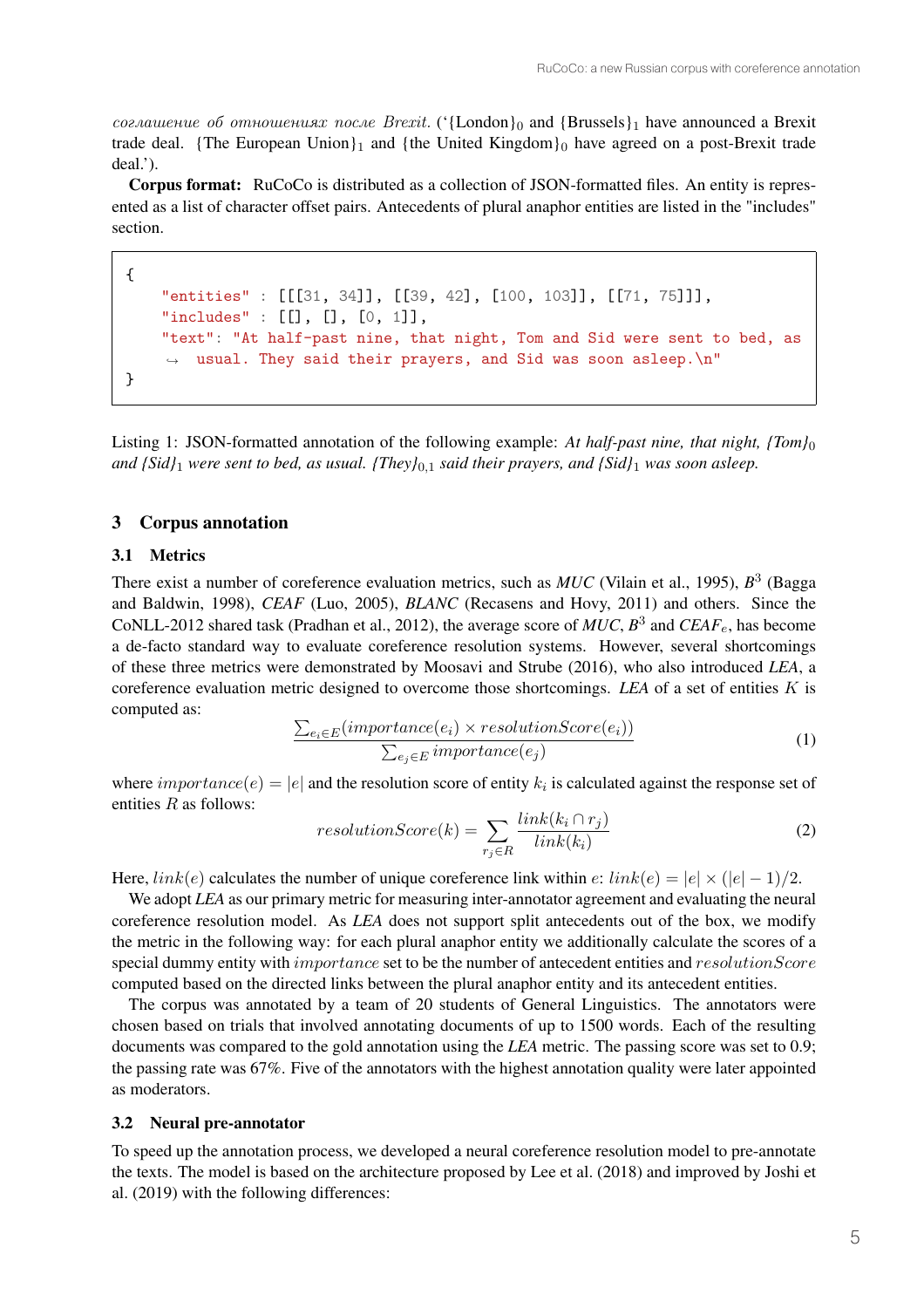*соглашение об отношениях после Brexit.* ('{London}<sup>0</sup> and {Brussels}<sup>1</sup> have announced a Brexit trade deal. {The European Union}<sub>1</sub> and {the United Kingdom}<sub>0</sub> have agreed on a post-Brexit trade deal.').

Corpus format: RuCoCo is distributed as a collection of JSON-formatted files. An entity is represented as a list of character offset pairs. Antecedents of plural anaphor entities are listed in the "includes" section.

```
{
    "entities" : [[[31, 34]], [[39, 42], [100, 103]], [[71, 75]]],
    "includes" : [[], [[], [0, 1]],"text": "At half-past nine, that night, Tom and Sid were sent to bed, as
       usual. They said their prayers, and Sid was soon asleep.\ln"
}
```
Listing 1: JSON-formatted annotation of the following example: *At half-past nine, that night, {Tom}*<sup>0</sup> *and {Sid}*<sup>1</sup> *were sent to bed, as usual. {They}*0,<sup>1</sup> *said their prayers, and {Sid}*<sup>1</sup> *was soon asleep.*

# 3 Corpus annotation

## 3.1 Metrics

There exist a number of coreference evaluation metrics, such as *MUC* (Vilain et al., 1995),  $B<sup>3</sup>$  (Bagga and Baldwin, 1998), *CEAF* (Luo, 2005), *BLANC* (Recasens and Hovy, 2011) and others. Since the CoNLL-2012 shared task (Pradhan et al., 2012), the average score of  $MUC$ ,  $B^3$  and  $CEAF_e$ , has become a de-facto standard way to evaluate coreference resolution systems. However, several shortcomings of these three metrics were demonstrated by Moosavi and Strube (2016), who also introduced *LEA*, a coreference evaluation metric designed to overcome those shortcomings. LEA of a set of entities  $K$  is computed as:

$$
\frac{\sum_{e_i \in E}(importance(e_i) \times resolutionScore(e_i))}{\sum_{e_j \in E}importance(e_j)}
$$
\n(1)

where  $importance(e) = |e|$  and the resolution score of entity  $k_i$  is calculated against the response set of entities  $R$  as follows:

$$
resolutionScore(k) = \sum_{r_j \in R} \frac{link(k_i \cap r_j)}{link(k_i)} \tag{2}
$$

Here,  $link(e)$  calculates the number of unique coreference link within  $e: link(e) = |e| \times (|e| - 1)/2$ .

We adopt *LEA* as our primary metric for measuring inter-annotator agreement and evaluating the neural coreference resolution model. As *LEA* does not support split antecedents out of the box, we modify the metric in the following way: for each plural anaphor entity we additionally calculate the scores of a special dummy entity with *importance* set to be the number of antecedent entities and  $resolutionScore$ computed based on the directed links between the plural anaphor entity and its antecedent entities.

The corpus was annotated by a team of 20 students of General Linguistics. The annotators were chosen based on trials that involved annotating documents of up to 1500 words. Each of the resulting documents was compared to the gold annotation using the *LEA* metric. The passing score was set to 0.9; the passing rate was 67%. Five of the annotators with the highest annotation quality were later appointed as moderators.

#### 3.2 Neural pre-annotator

To speed up the annotation process, we developed a neural coreference resolution model to pre-annotate the texts. The model is based on the architecture proposed by Lee et al. (2018) and improved by Joshi et al. (2019) with the following differences: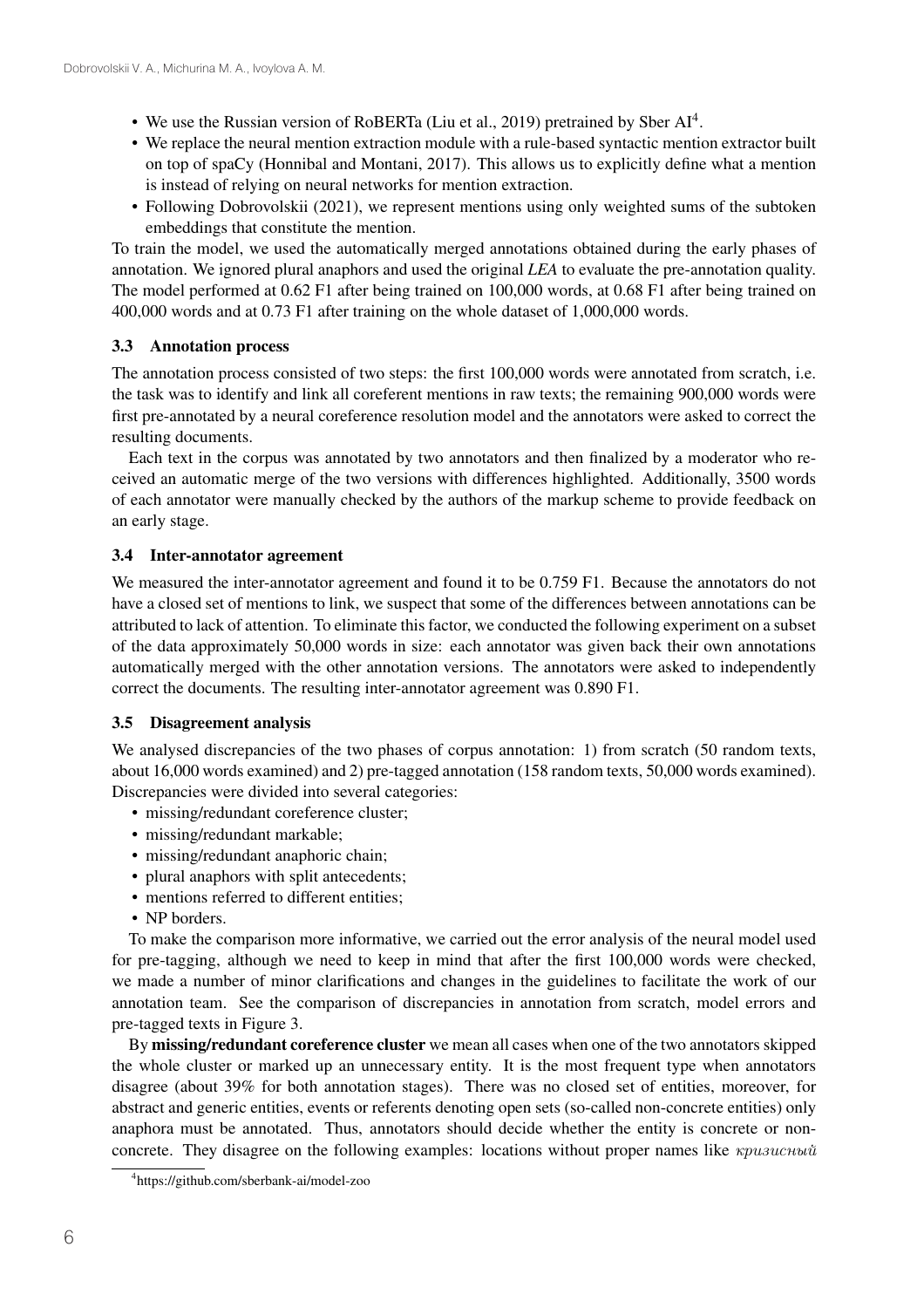- We use the Russian version of RoBERTa (Liu et al., 2019) pretrained by Sber AI4.
- We replace the neural mention extraction module with a rule-based syntactic mention extractor built on top of spaCy (Honnibal and Montani, 2017). This allows us to explicitly define what a mention is instead of relying on neural networks for mention extraction.
- Following Dobrovolskii (2021), we represent mentions using only weighted sums of the subtoken embeddings that constitute the mention.

To train the model, we used the automatically merged annotations obtained during the early phases of annotation. We ignored plural anaphors and used the original *LEA* to evaluate the pre-annotation quality. The model performed at 0.62 F1 after being trained on 100,000 words, at 0.68 F1 after being trained on 400,000 words and at 0.73 F1 after training on the whole dataset of 1,000,000 words.

# 3.3 Annotation process

The annotation process consisted of two steps: the first 100,000 words were annotated from scratch, i.e. the task was to identify and link all coreferent mentions in raw texts; the remaining 900,000 words were first pre-annotated by a neural coreference resolution model and the annotators were asked to correct the resulting documents.

Each text in the corpus was annotated by two annotators and then finalized by a moderator who received an automatic merge of the two versions with differences highlighted. Additionally, 3500 words of each annotator were manually checked by the authors of the markup scheme to provide feedback on an early stage.

# 3.4 Inter-annotator agreement

We measured the inter-annotator agreement and found it to be 0.759 F1. Because the annotators do not have a closed set of mentions to link, we suspect that some of the differences between annotations can be attributed to lack of attention. To eliminate this factor, we conducted the following experiment on a subset of the data approximately 50,000 words in size: each annotator was given back their own annotations automatically merged with the other annotation versions. The annotators were asked to independently correct the documents. The resulting inter-annotator agreement was 0.890 F1.

## 3.5 Disagreement analysis

We analysed discrepancies of the two phases of corpus annotation: 1) from scratch (50 random texts, about 16,000 words examined) and 2) pre-tagged annotation (158 random texts, 50,000 words examined). Discrepancies were divided into several categories:

- missing/redundant coreference cluster;
- missing/redundant markable;
- missing/redundant anaphoric chain;
- plural anaphors with split antecedents;
- mentions referred to different entities;
- NP borders.

To make the comparison more informative, we carried out the error analysis of the neural model used for pre-tagging, although we need to keep in mind that after the first 100,000 words were checked, we made a number of minor clarifications and changes in the guidelines to facilitate the work of our annotation team. See the comparison of discrepancies in annotation from scratch, model errors and pre-tagged texts in Figure 3.

By missing/redundant coreference cluster we mean all cases when one of the two annotators skipped the whole cluster or marked up an unnecessary entity. It is the most frequent type when annotators disagree (about 39% for both annotation stages). There was no closed set of entities, moreover, for abstract and generic entities, events or referents denoting open sets (so-called non-concrete entities) only anaphora must be annotated. Thus, annotators should decide whether the entity is concrete or nonconcrete. They disagree on the following examples: locations without proper names like *кризисный*

<sup>4</sup> https://github.com/sberbank-ai/model-zoo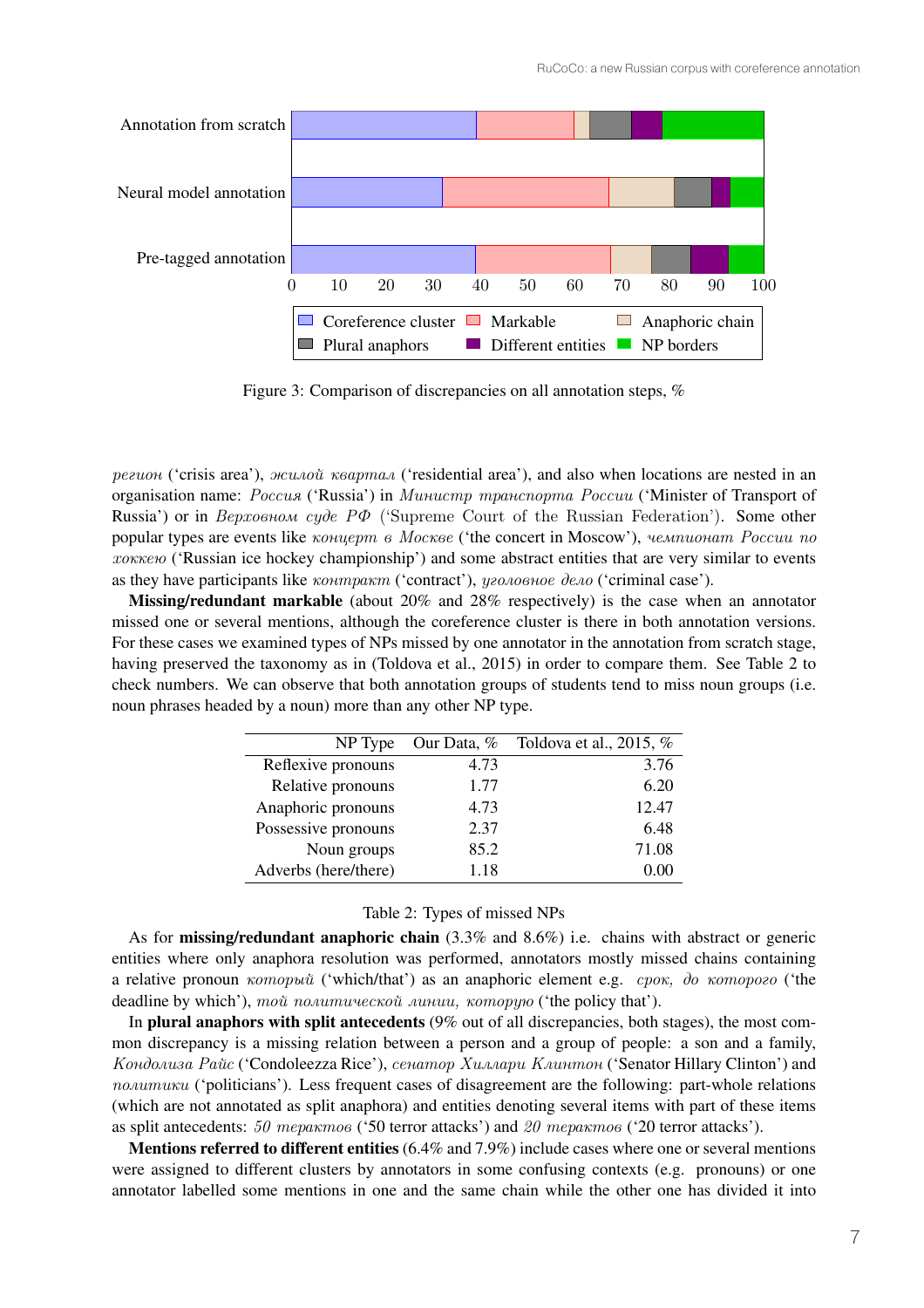

Figure 3: Comparison of discrepancies on all annotation steps, %

*регион* ('crisis area'), *жилой квартал* ('residential area'), and also when locations are nested in an organisation name: *Россия* ('Russia') in *Министр транспорта России* ('Minister of Transport of Russia') or in *Верховном суде РФ* ('Supreme Court of the Russian Federation'). Some other popular types are events like *концерт в Москве* ('the concert in Moscow'), *чемпионат России по хоккею* ('Russian ice hockey championship') and some abstract entities that are very similar to events as they have participants like *контракт* ('contract'), *уголовное дело* ('criminal case').

Missing/redundant markable (about 20% and 28% respectively) is the case when an annotator missed one or several mentions, although the coreference cluster is there in both annotation versions. For these cases we examined types of NPs missed by one annotator in the annotation from scratch stage, having preserved the taxonomy as in (Toldova et al., 2015) in order to compare them. See Table 2 to check numbers. We can observe that both annotation groups of students tend to miss noun groups (i.e. noun phrases headed by a noun) more than any other NP type.

| NP Type              | Our Data, % | Toldova et al., 2015, $%$ |
|----------------------|-------------|---------------------------|
| Reflexive pronouns   | 4.73        | 3.76                      |
| Relative pronouns    | 1.77        | 6.20                      |
| Anaphoric pronouns   | 4.73        | 12.47                     |
| Possessive pronouns  | 2.37        | 6.48                      |
| Noun groups          | 85.2        | 71.08                     |
| Adverbs (here/there) | 1.18        |                           |

#### Table 2: Types of missed NPs

As for **missing/redundant anaphoric chain**  $(3.3\%$  and  $8.6\%)$  i.e. chains with abstract or generic entities where only anaphora resolution was performed, annotators mostly missed chains containing a relative pronoun *который* ('which/that') as an anaphoric element e.g. *срок, до которого* ('the deadline by which'), *той политической линии, которую* ('the policy that').

In plural anaphors with split antecedents (9% out of all discrepancies, both stages), the most common discrepancy is a missing relation between a person and a group of people: a son and a family, *Кондолиза Райс* ('Condoleezza Rice'), *сенатор Хиллари Клинтон* ('Senator Hillary Clinton') and *политики* ('politicians'). Less frequent cases of disagreement are the following: part-whole relations (which are not annotated as split anaphora) and entities denoting several items with part of these items as split antecedents: *50 терактов* ('50 terror attacks') and *20 терактов* ('20 terror attacks').

Mentions referred to different entities (6.4% and 7.9%) include cases where one or several mentions were assigned to different clusters by annotators in some confusing contexts (e.g. pronouns) or one annotator labelled some mentions in one and the same chain while the other one has divided it into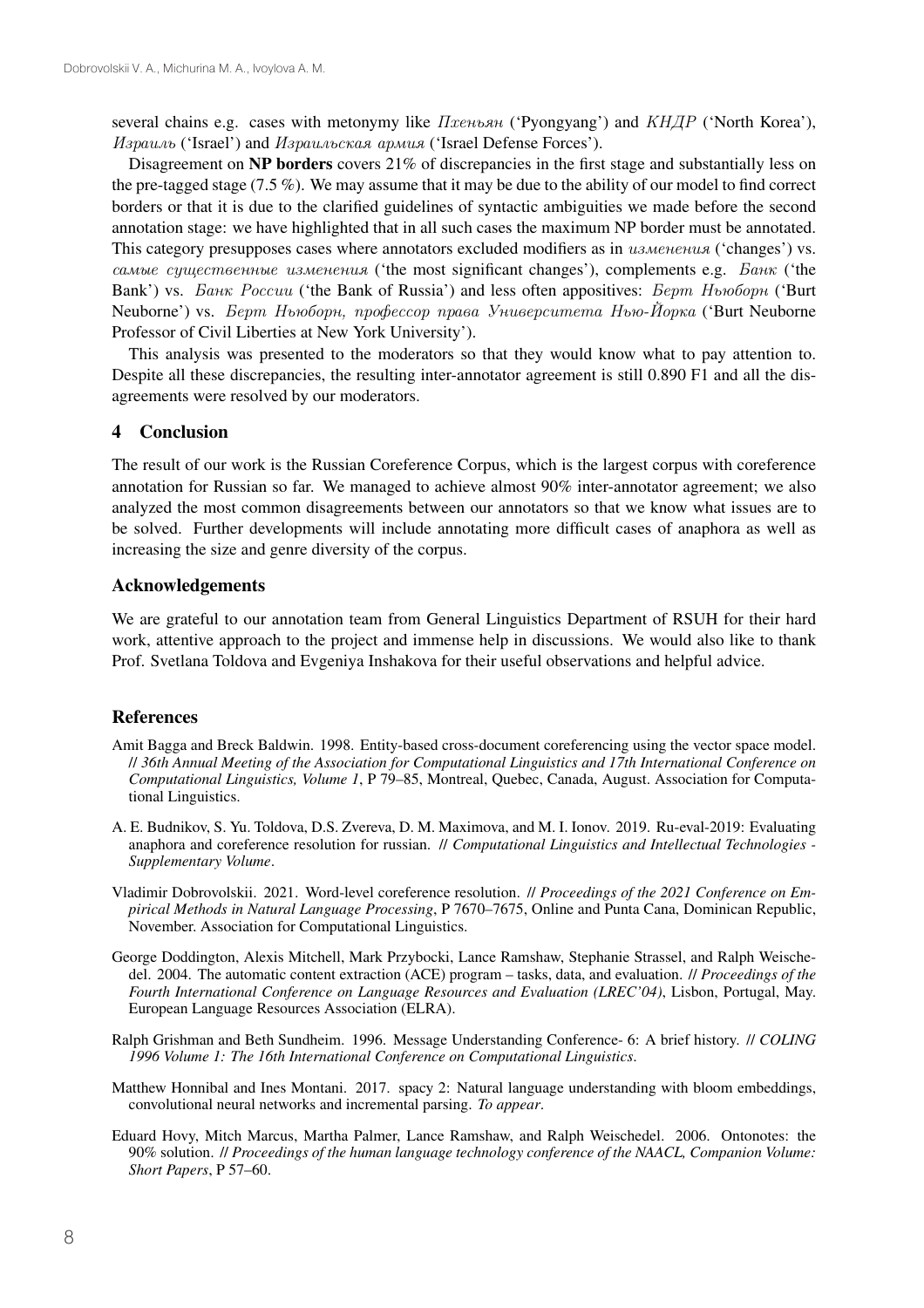several chains e.g. cases with metonymy like *Пхеньян* ('Pyongyang') and *КНДР* ('North Korea'), *Израиль* ('Israel') and *Израильская армия* ('Israel Defense Forces').

Disagreement on NP borders covers 21% of discrepancies in the first stage and substantially less on the pre-tagged stage (7.5 %). We may assume that it may be due to the ability of our model to find correct borders or that it is due to the clarified guidelines of syntactic ambiguities we made before the second annotation stage: we have highlighted that in all such cases the maximum NP border must be annotated. This category presupposes cases where annotators excluded modifiers as in *изменения* ('changes') vs. *самые существенные изменения* ('the most significant changes'), complements e.g. *Банк* ('the Bank') vs. *Банк России* ('the Bank of Russia') and less often appositives: *Берт Ньюборн* ('Burt Neuborne') vs. *Берт Ньюборн, профессор права Университета Нью-Йорка* ('Burt Neuborne Professor of Civil Liberties at New York University').

This analysis was presented to the moderators so that they would know what to pay attention to. Despite all these discrepancies, the resulting inter-annotator agreement is still 0.890 F1 and all the disagreements were resolved by our moderators.

## 4 Conclusion

The result of our work is the Russian Coreference Corpus, which is the largest corpus with coreference annotation for Russian so far. We managed to achieve almost 90% inter-annotator agreement; we also analyzed the most common disagreements between our annotators so that we know what issues are to be solved. Further developments will include annotating more difficult cases of anaphora as well as increasing the size and genre diversity of the corpus.

## Acknowledgements

We are grateful to our annotation team from General Linguistics Department of RSUH for their hard work, attentive approach to the project and immense help in discussions. We would also like to thank Prof. Svetlana Toldova and Evgeniya Inshakova for their useful observations and helpful advice.

## **References**

- Amit Bagga and Breck Baldwin. 1998. Entity-based cross-document coreferencing using the vector space model. // *36th Annual Meeting of the Association for Computational Linguistics and 17th International Conference on Computational Linguistics, Volume 1*, P 79–85, Montreal, Quebec, Canada, August. Association for Computational Linguistics.
- A. E. Budnikov, S. Yu. Toldova, D.S. Zvereva, D. M. Maximova, and M. I. Ionov. 2019. Ru-eval-2019: Evaluating anaphora and coreference resolution for russian. // *Computational Linguistics and Intellectual Technologies - Supplementary Volume*.
- Vladimir Dobrovolskii. 2021. Word-level coreference resolution. // *Proceedings of the 2021 Conference on Empirical Methods in Natural Language Processing*, P 7670–7675, Online and Punta Cana, Dominican Republic, November. Association for Computational Linguistics.
- George Doddington, Alexis Mitchell, Mark Przybocki, Lance Ramshaw, Stephanie Strassel, and Ralph Weischedel. 2004. The automatic content extraction (ACE) program – tasks, data, and evaluation. // *Proceedings of the Fourth International Conference on Language Resources and Evaluation (LREC'04)*, Lisbon, Portugal, May. European Language Resources Association (ELRA).
- Ralph Grishman and Beth Sundheim. 1996. Message Understanding Conference- 6: A brief history. // *COLING 1996 Volume 1: The 16th International Conference on Computational Linguistics*.
- Matthew Honnibal and Ines Montani. 2017. spacy 2: Natural language understanding with bloom embeddings, convolutional neural networks and incremental parsing. *To appear*.
- Eduard Hovy, Mitch Marcus, Martha Palmer, Lance Ramshaw, and Ralph Weischedel. 2006. Ontonotes: the 90% solution. // *Proceedings of the human language technology conference of the NAACL, Companion Volume: Short Papers*, P 57–60.